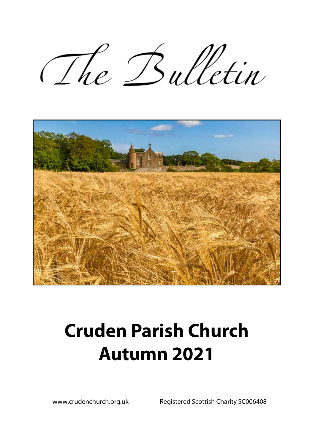The Bulletin



# **Cruden Parish Church Autumn 2021**

www.crudenchurch.org.uk Registered Scottish Charity SC006408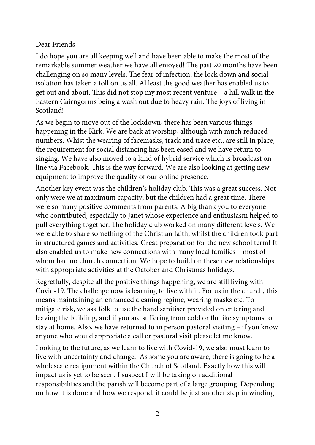#### Dear Friends

I do hope you are all keeping well and have been able to make the most of the remarkable summer weather we have all enjoyed! The past 20 months have been challenging on so many levels. The fear of infection, the lock down and social isolation has taken a toll on us all. Al least the good weather has enabled us to get out and about. This did not stop my most recent venture – a hill walk in the Eastern Cairngorms being a wash out due to heavy rain. The joys of living in Scotland!

As we begin to move out of the lockdown, there has been various things happening in the Kirk. We are back at worship, although with much reduced numbers. Whist the wearing of facemasks, track and trace etc., are still in place, the requirement for social distancing has been eased and we have return to singing. We have also moved to a kind of hybrid service which is broadcast online via Facebook. This is the way forward. We are also looking at getting new equipment to improve the quality of our online presence.

Another key event was the children's holiday club. This was a great success. Not only were we at maximum capacity, but the children had a great time. There were so many positive comments from parents. A big thank you to everyone who contributed, especially to Janet whose experience and enthusiasm helped to pull everything together. The holiday club worked on many different levels. We were able to share something of the Christian faith, whilst the children took part in structured games and activities. Great preparation for the new school term! It also enabled us to make new connections with many local families – most of whom had no church connection. We hope to build on these new relationships with appropriate activities at the October and Christmas holidays.

Regretfully, despite all the positive things happening, we are still living with Covid-19. The challenge now is learning to live with it. For us in the church, this means maintaining an enhanced cleaning regime, wearing masks etc. To mitigate risk, we ask folk to use the hand sanitiser provided on entering and leaving the building, and if you are suffering from cold or flu like symptoms to stay at home. Also, we have returned to in person pastoral visiting – if you know anyone who would appreciate a call or pastoral visit please let me know.

Looking to the future, as we learn to live with Covid-19, we also must learn to live with uncertainty and change. As some you are aware, there is going to be a wholescale realignment within the Church of Scotland. Exactly how this will impact us is yet to be seen. I suspect I will be taking on additional responsibilities and the parish will become part of a large grouping. Depending on how it is done and how we respond, it could be just another step in winding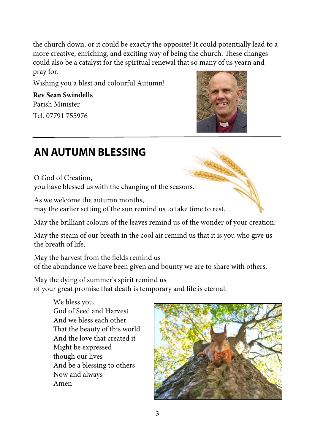the church down, or it could be exactly the opposite! It could potentially lead to a more creative, enriching, and exciting way of being the church. These changes could also be a catalyst for the spiritual renewal that so many of us yearn and pray for.

Wishing you a blest and colourful Autumn!

**Rev Sean Swindells** Parish Minister

Tel. 07791 755976



### **AN AUTUMN BLESSING**

O God of Creation, you have blessed us with the changing of the seasons.

As we welcome the autumn months, may the earlier setting of the sun remind us to take time to rest.

May the brilliant colours of the leaves remind us of the wonder of your creation.

May the steam of our breath in the cool air remind us that it is you who give us the breath of life.

May the harvest from the fields remind us of the abundance we have been given and bounty we are to share with others.

May the dying of summer's spirit remind us of your great promise that death is temporary and life is eternal.

> We bless you, God of Seed and Harvest And we bless each other That the beauty of this world And the love that created it Might be expressed though our lives And be a blessing to others Now and always Amen

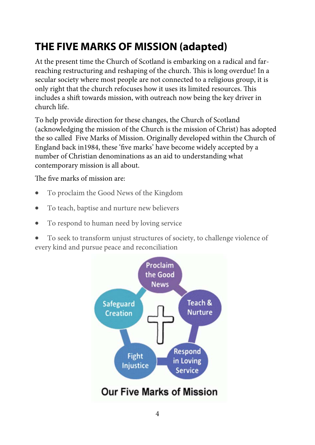### **THE FIVE MARKS OF MISSION (adapted)**

At the present time the Church of Scotland is embarking on a radical and farreaching restructuring and reshaping of the church. This is long overdue! In a secular society where most people are not connected to a religious group, it is only right that the church refocuses how it uses its limited resources. This includes a shift towards mission, with outreach now being the key driver in church life.

To help provide direction for these changes, the Church of Scotland (acknowledging the mission of the Church is the mission of Christ) has adopted the so called Five Marks of Mission. Originally developed within the Church of England back in1984, these 'five marks' have become widely accepted by a number of Christian denominations as an aid to understanding what contemporary mission is all about.

The five marks of mission are:

- To proclaim the Good News of the Kingdom
- To teach, baptise and nurture new believers
- To respond to human need by loving service

 To seek to transform unjust structures of society, to challenge violence of every kind and pursue peace and reconciliation

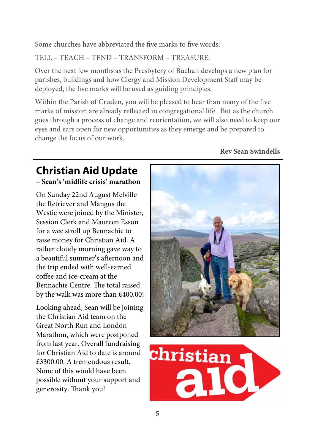Some churches have abbreviated the five marks to five words:

TELL – TEACH – TEND – TRANSFORM – TREASURE.

Over the next few months as the Presbytery of Buchan develops a new plan for parishes, buildings and how Clergy and Mission Development Staff may be deployed, the five marks will be used as guiding principles.

Within the Parish of Cruden, you will be pleased to hear than many of the five marks of mission are already reflected in congregational life. But as the church goes through a process of change and reorientation, we will also need to keep our eyes and ears open for new opportunities as they emerge and be prepared to change the focus of our work.

#### **Rev Sean Swindells**

## **Christian Aid Update**

#### **– Sean's 'midlife crisis' marathon**

On Sunday 22nd August Melville the Retriever and Mangus the Westie were joined by the Minister, Session Clerk and Maureen Esson for a wee stroll up Bennachie to raise money for Christian Aid. A rather cloudy morning gave way to a beautiful summer's afternoon and the trip ended with well-earned coffee and ice-cream at the Bennachie Centre. The total raised by the walk was more than £400.00!

Looking ahead, Sean will be joining the Christian Aid team on the Great North Run and London Marathon, which were postponed from last year. Overall fundraising for Christian Aid to date is around £3300.00. A tremendous result. None of this would have been possible without your support and generosity. Thank you!



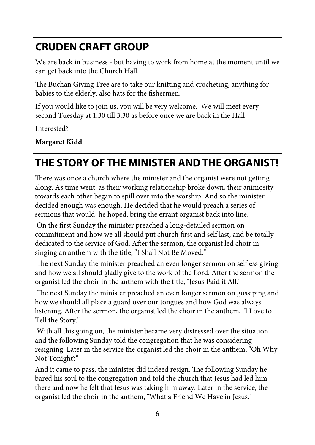### **CRUDEN CRAFT GROUP**

We are back in business - but having to work from home at the moment until we can get back into the Church Hall.

The Buchan Giving Tree are to take our knitting and crocheting, anything for babies to the elderly, also hats for the fishermen.

If you would like to join us, you will be very welcome. We will meet every second Tuesday at 1.30 till 3.30 as before once we are back in the Hall

Interested?

**Margaret Kidd** 

### **THE STORY OF THE MINISTER AND THE ORGANIST!**

There was once a church where the minister and the organist were not getting along. As time went, as their working relationship broke down, their animosity towards each other began to spill over into the worship. And so the minister decided enough was enough. He decided that he would preach a series of sermons that would, he hoped, bring the errant organist back into line.

 On the first Sunday the minister preached a long-detailed sermon on commitment and how we all should put church first and self last, and be totally dedicated to the service of God. After the sermon, the organist led choir in singing an anthem with the title, "I Shall Not Be Moved."

 The next Sunday the minister preached an even longer sermon on selfless giving and how we all should gladly give to the work of the Lord. After the sermon the organist led the choir in the anthem with the title, "Jesus Paid it All."

 The next Sunday the minister preached an even longer sermon on gossiping and how we should all place a guard over our tongues and how God was always listening. After the sermon, the organist led the choir in the anthem, "I Love to Tell the Story."

 With all this going on, the minister became very distressed over the situation and the following Sunday told the congregation that he was considering resigning. Later in the service the organist led the choir in the anthem, "Oh Why Not Tonight?"

And it came to pass, the minister did indeed resign. The following Sunday he bared his soul to the congregation and told the church that Jesus had led him there and now he felt that Jesus was taking him away. Later in the service, the organist led the choir in the anthem, "What a Friend We Have in Jesus."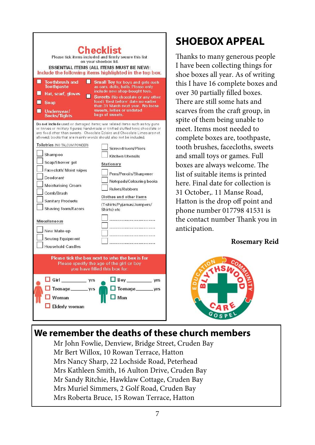| <b>Toothbrush and</b><br><b>Toothpaste</b><br>Hat, scarf, gloves<br>Soap<br>Underwear/                                                                                                                                                                                                                       | Checklist<br>Please tick items included and firmly secure this list<br>on your shoebox lid.<br><b>ESSENTIAL ITEMS (ALL ITEMS MUST BE NEW):</b><br>Include the following items highlighted in the top box.<br>Small Toy for boys and girls such<br>as cars, dolls, balls. Please only<br>include new shop-bought toys.<br>Sweets (No chocolate or any other<br>food) 'Best before' date no earlier<br>than 31 March next year. No loose<br>sweets, lollies or undated |  |  |
|--------------------------------------------------------------------------------------------------------------------------------------------------------------------------------------------------------------------------------------------------------------------------------------------------------------|----------------------------------------------------------------------------------------------------------------------------------------------------------------------------------------------------------------------------------------------------------------------------------------------------------------------------------------------------------------------------------------------------------------------------------------------------------------------|--|--|
| Socks/Tights                                                                                                                                                                                                                                                                                                 | bags of sweets.                                                                                                                                                                                                                                                                                                                                                                                                                                                      |  |  |
| Do not include used or damaged items; war related items such as toy guns<br>or knives or military figures; hand-made or knitted stuffed toys; chocolate or<br>any food other than sweets. Chocolate Eclairs and Chocolate Limes are not<br>allowed; books that are mainly words should also not be included. |                                                                                                                                                                                                                                                                                                                                                                                                                                                                      |  |  |
| Toiletries (NO TALCUM POWDER)<br>Shampoo                                                                                                                                                                                                                                                                     | Screwdrivers/Pliers<br>Kitchen Utensils                                                                                                                                                                                                                                                                                                                                                                                                                              |  |  |
| Soap/Shower gel                                                                                                                                                                                                                                                                                              | Stationery                                                                                                                                                                                                                                                                                                                                                                                                                                                           |  |  |
| Face cloth/ Moist wipes                                                                                                                                                                                                                                                                                      |                                                                                                                                                                                                                                                                                                                                                                                                                                                                      |  |  |
| Deodorant                                                                                                                                                                                                                                                                                                    | Pens/Pencils/Sharpener<br>Notepads/Colouring books                                                                                                                                                                                                                                                                                                                                                                                                                   |  |  |
| Moisturising Cream                                                                                                                                                                                                                                                                                           | <b>Rulers/Rubbers</b>                                                                                                                                                                                                                                                                                                                                                                                                                                                |  |  |
| Comb/Brush                                                                                                                                                                                                                                                                                                   |                                                                                                                                                                                                                                                                                                                                                                                                                                                                      |  |  |
| <b>Sanitary Products</b>                                                                                                                                                                                                                                                                                     | Clothes and other Items                                                                                                                                                                                                                                                                                                                                                                                                                                              |  |  |
| Shaving foam/Razors                                                                                                                                                                                                                                                                                          | (T-shirts/Pyjamas/Jumpers/<br>Shirts) etc                                                                                                                                                                                                                                                                                                                                                                                                                            |  |  |
| <b>Miscellaneous</b><br>New Make-up<br>Sewing Equipment                                                                                                                                                                                                                                                      | <br>                                                                                                                                                                                                                                                                                                                                                                                                                                                                 |  |  |
| <b>Household Candles</b>                                                                                                                                                                                                                                                                                     |                                                                                                                                                                                                                                                                                                                                                                                                                                                                      |  |  |
| Please tick the box next to who the box is for<br>Please specify the age of the girl or boy<br>you have filled this box for:                                                                                                                                                                                 |                                                                                                                                                                                                                                                                                                                                                                                                                                                                      |  |  |
| $\Box$ Girl $\_\_\_\$ yrs                                                                                                                                                                                                                                                                                    | Boy yrs                                                                                                                                                                                                                                                                                                                                                                                                                                                              |  |  |
| Teenage_________vrs                                                                                                                                                                                                                                                                                          | Teenage_________vrs                                                                                                                                                                                                                                                                                                                                                                                                                                                  |  |  |
| Woman                                                                                                                                                                                                                                                                                                        | Man                                                                                                                                                                                                                                                                                                                                                                                                                                                                  |  |  |
|                                                                                                                                                                                                                                                                                                              |                                                                                                                                                                                                                                                                                                                                                                                                                                                                      |  |  |
| <b>Elderly woman</b>                                                                                                                                                                                                                                                                                         |                                                                                                                                                                                                                                                                                                                                                                                                                                                                      |  |  |
|                                                                                                                                                                                                                                                                                                              |                                                                                                                                                                                                                                                                                                                                                                                                                                                                      |  |  |

### **SHOEBOX APPEAL**

Thanks to many generous people I have been collecting things for shoe boxes all year. As of writing this I have 16 complete boxes and over 30 partially filled boxes. There are still some hats and scarves from the craft group, in spite of them being unable to meet. Items most needed to complete boxes are, toothpaste, tooth brushes, facecloths, sweets and small toys or games. Full boxes are always welcome. The list of suitable items is printed here. Final date for collection is 31 October,. 11 Manse Road, Hatton is the drop off point and phone number 017798 41531 is the contact number Thank you in anticipation.

#### **Rosemary Reid**



#### **We remember the deaths of these church members**

Mr John Fowlie, Denview, Bridge Street, Cruden Bay Mr Bert Willox, 10 Rowan Terrace, Hatton Mrs Nancy Sharp, 22 Lochside Road, Peterhead Mrs Kathleen Smith, 16 Aulton Drive, Cruden Bay Mr Sandy Ritchie, Hawklaw Cottage, Cruden Bay Mrs Muriel Simmers, 2 Golf Road, Cruden Bay Mrs Roberta Bruce, 15 Rowan Terrace, Hatton